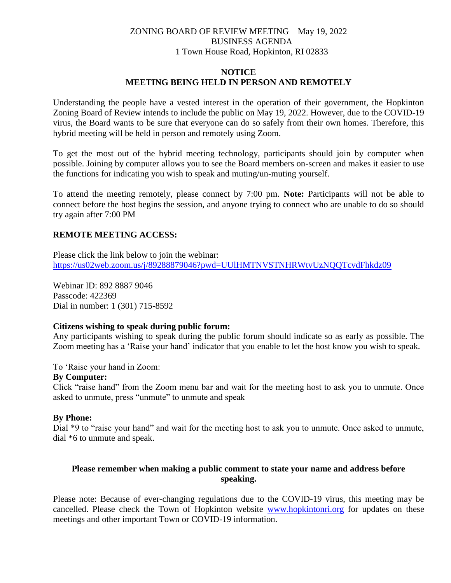# ZONING BOARD OF REVIEW MEETING – May 19, 2022 BUSINESS AGENDA 1 Town House Road, Hopkinton, RI 02833

## **NOTICE MEETING BEING HELD IN PERSON AND REMOTELY**

Understanding the people have a vested interest in the operation of their government, the Hopkinton Zoning Board of Review intends to include the public on May 19, 2022. However, due to the COVID-19 virus, the Board wants to be sure that everyone can do so safely from their own homes. Therefore, this hybrid meeting will be held in person and remotely using Zoom.

To get the most out of the hybrid meeting technology, participants should join by computer when possible. Joining by computer allows you to see the Board members on-screen and makes it easier to use the functions for indicating you wish to speak and muting/un-muting yourself.

To attend the meeting remotely, please connect by 7:00 pm. **Note:** Participants will not be able to connect before the host begins the session, and anyone trying to connect who are unable to do so should try again after 7:00 PM

## **REMOTE MEETING ACCESS:**

Please click the link below to join the webinar: <https://us02web.zoom.us/j/89288879046?pwd=UUlHMTNVSTNHRWtvUzNQQTcvdFhkdz09>

Webinar ID: 892 8887 9046 Passcode: 422369 Dial in number: 1 (301) 715-8592

## **Citizens wishing to speak during public forum:**

Any participants wishing to speak during the public forum should indicate so as early as possible. The Zoom meeting has a 'Raise your hand' indicator that you enable to let the host know you wish to speak.

To 'Raise your hand in Zoom:

## **By Computer:**

Click "raise hand" from the Zoom menu bar and wait for the meeting host to ask you to unmute. Once asked to unmute, press "unmute" to unmute and speak

## **By Phone:**

Dial \*9 to "raise your hand" and wait for the meeting host to ask you to unmute. Once asked to unmute, dial \*6 to unmute and speak.

## **Please remember when making a public comment to state your name and address before speaking.**

Please note: Because of ever-changing regulations due to the COVID-19 virus, this meeting may be cancelled. Please check the Town of Hopkinton website [www.hopkintonri.org](http://www.hopkintonri.org/) for updates on these meetings and other important Town or COVID-19 information.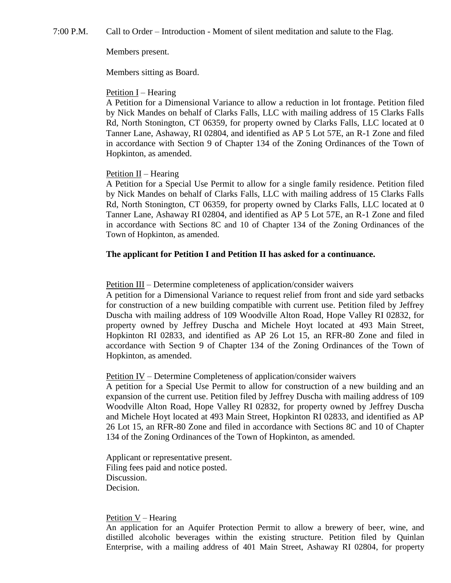7:00 P.M. Call to Order – Introduction - Moment of silent meditation and salute to the Flag.

#### Members present.

Members sitting as Board.

#### Petition I – Hearing

A Petition for a Dimensional Variance to allow a reduction in lot frontage. Petition filed by Nick Mandes on behalf of Clarks Falls, LLC with mailing address of 15 Clarks Falls Rd, North Stonington, CT 06359, for property owned by Clarks Falls, LLC located at 0 Tanner Lane, Ashaway, RI 02804, and identified as AP 5 Lot 57E, an R-1 Zone and filed in accordance with Section 9 of Chapter 134 of the Zoning Ordinances of the Town of Hopkinton, as amended.

#### Petition  $II$  – Hearing

A Petition for a Special Use Permit to allow for a single family residence. Petition filed by Nick Mandes on behalf of Clarks Falls, LLC with mailing address of 15 Clarks Falls Rd, North Stonington, CT 06359, for property owned by Clarks Falls, LLC located at 0 Tanner Lane, Ashaway RI 02804, and identified as AP 5 Lot 57E, an R-1 Zone and filed in accordance with Sections 8C and 10 of Chapter 134 of the Zoning Ordinances of the Town of Hopkinton, as amended.

## **The applicant for Petition I and Petition II has asked for a continuance.**

#### Petition III – Determine completeness of application/consider waivers

A petition for a Dimensional Variance to request relief from front and side yard setbacks for construction of a new building compatible with current use. Petition filed by Jeffrey Duscha with mailing address of 109 Woodville Alton Road, Hope Valley RI 02832, for property owned by Jeffrey Duscha and Michele Hoyt located at 493 Main Street, Hopkinton RI 02833, and identified as AP 26 Lot 15, an RFR-80 Zone and filed in accordance with Section 9 of Chapter 134 of the Zoning Ordinances of the Town of Hopkinton, as amended.

#### Petition IV – Determine Completeness of application/consider waivers

A petition for a Special Use Permit to allow for construction of a new building and an expansion of the current use. Petition filed by Jeffrey Duscha with mailing address of 109 Woodville Alton Road, Hope Valley RI 02832, for property owned by Jeffrey Duscha and Michele Hoyt located at 493 Main Street, Hopkinton RI 02833, and identified as AP 26 Lot 15, an RFR-80 Zone and filed in accordance with Sections 8C and 10 of Chapter 134 of the Zoning Ordinances of the Town of Hopkinton, as amended.

Applicant or representative present. Filing fees paid and notice posted. Discussion. Decision.

#### Petition V – Hearing

An application for an Aquifer Protection Permit to allow a brewery of beer, wine, and distilled alcoholic beverages within the existing structure. Petition filed by Quinlan Enterprise, with a mailing address of 401 Main Street, Ashaway RI 02804, for property